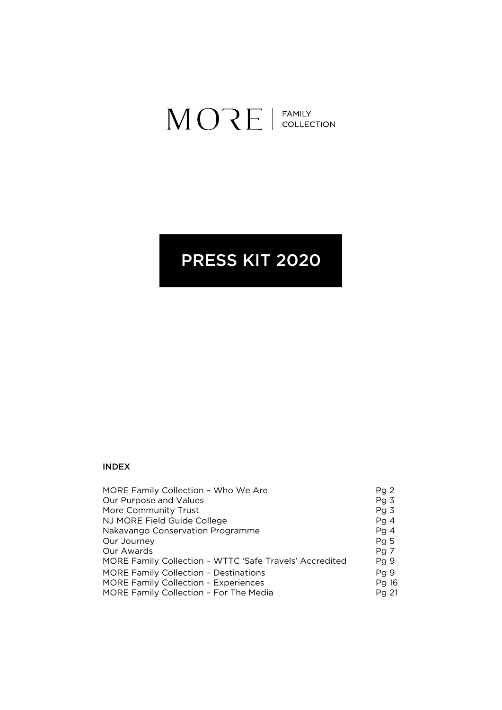# $MORE$  | FAMILY

# PRESS KIT 2020

#### INDEX

| MORE Family Collection - Who We Are                     | Pg2             |
|---------------------------------------------------------|-----------------|
| Our Purpose and Values                                  | Pg <sub>3</sub> |
| More Community Trust                                    | Pg <sub>3</sub> |
| NJ MORE Field Guide College                             | Pg4             |
| Nakavango Conservation Programme                        | Pg4             |
| Our Journey                                             | Pg <sub>5</sub> |
| Our Awards                                              | Pg 7            |
| MORE Family Collection - WTTC 'Safe Travels' Accredited | Pg 9            |
| <b>MORE Family Collection - Destinations</b>            | Pg 9            |
| <b>MORE Family Collection - Experiences</b>             | Pg 16           |
| MORE Family Collection - For The Media                  | Pg 21           |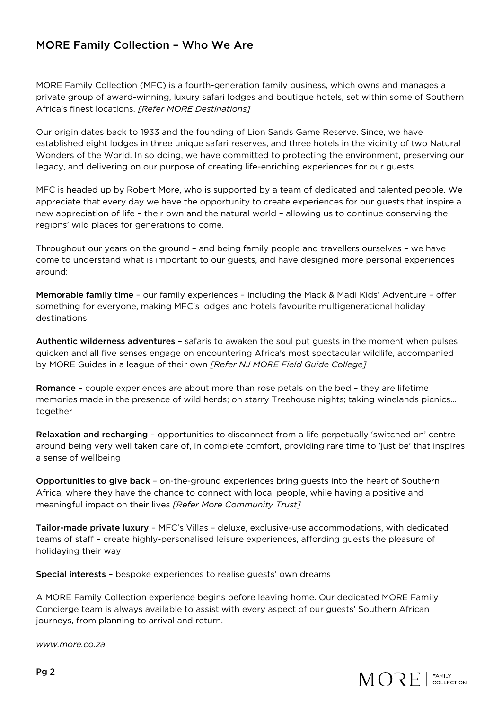MORE Family Collection (MFC) is a fourth-generation family business, which owns and manages a private group of award-winning, luxury safari lodges and boutique hotels, set within some of Southern Africa's finest locations. *[Refer MORE Destinations]*

Our origin dates back to 1933 and the founding of Lion Sands Game Reserve. Since, we have established eight lodges in three unique safari reserves, and three hotels in the vicinity of two Natural Wonders of the World. In so doing, we have committed to protecting the environment, preserving our legacy, and delivering on our purpose of creating life-enriching experiences for our guests.

MFC is headed up by Robert More, who is supported by a team of dedicated and talented people. We appreciate that every day we have the opportunity to create experiences for our guests that inspire a new appreciation of life – their own and the natural world – allowing us to continue conserving the regions' wild places for generations to come.

Throughout our years on the ground – and being family people and travellers ourselves – we have come to understand what is important to our guests, and have designed more personal experiences around:

Memorable family time – our family experiences – including the Mack & Madi Kids' Adventure – offer something for everyone, making MFC's lodges and hotels favourite multigenerational holiday destinations

Authentic wilderness adventures – safaris to awaken the soul put guests in the moment when pulses quicken and all five senses engage on encountering Africa's most spectacular wildlife, accompanied by MORE Guides in a league of their own *[Refer NJ MORE Field Guide College]*

Romance – couple experiences are about more than rose petals on the bed – they are lifetime memories made in the presence of wild herds; on starry Treehouse nights; taking winelands picnics… together

Relaxation and recharging – opportunities to disconnect from a life perpetually 'switched on' centre around being very well taken care of, in complete comfort, providing rare time to 'just be' that inspires a sense of wellbeing

Opportunities to give back – on-the-ground experiences bring guests into the heart of Southern Africa, where they have the chance to connect with local people, while having a positive and meaningful impact on their lives *[Refer More Community Trust]*

Tailor-made private luxury – MFC's Villas – deluxe, exclusive-use accommodations, with dedicated teams of staff – create highly-personalised leisure experiences, affording guests the pleasure of holidaying their way

Special interests – bespoke experiences to realise guests' own dreams

A MORE Family Collection experience begins before leaving home. Our dedicated MORE Family Concierge team is always available to assist with every aspect of our guests' Southern African journeys, from planning to arrival and return.

*www.more.co.za*

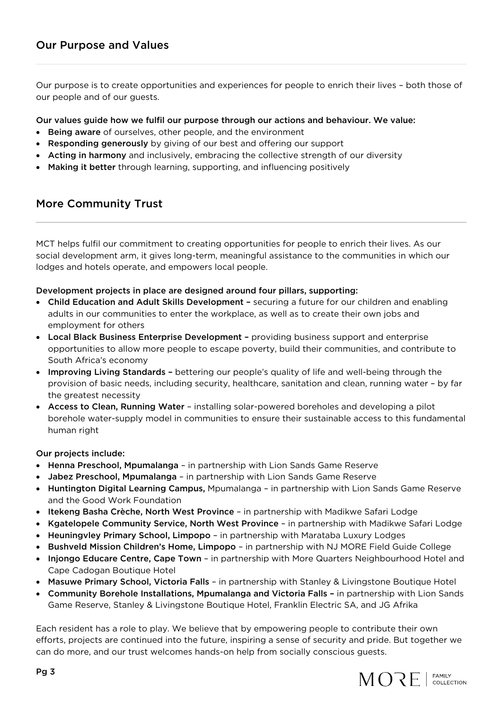Our purpose is to create opportunities and experiences for people to enrich their lives – both those of our people and of our guests.

#### Our values guide how we fulfil our purpose through our actions and behaviour. We value:

- Being aware of ourselves, other people, and the environment
- Responding generously by giving of our best and offering our support
- Acting in harmony and inclusively, embracing the collective strength of our diversity
- Making it better through learning, supporting, and influencing positively

# More Community Trust

MCT helps fulfil our commitment to creating opportunities for people to enrich their lives. As our social development arm, it gives long-term, meaningful assistance to the communities in which our lodges and hotels operate, and empowers local people.

#### Development projects in place are designed around four pillars, supporting:

- Child Education and Adult Skills Development securing a future for our children and enabling adults in our communities to enter the workplace, as well as to create their own jobs and employment for others
- Local Black Business Enterprise Development providing business support and enterprise opportunities to allow more people to escape poverty, build their communities, and contribute to South Africa's economy
- Improving Living Standards bettering our people's quality of life and well-being through the provision of basic needs, including security, healthcare, sanitation and clean, running water – by far the greatest necessity
- Access to Clean, Running Water installing solar-powered boreholes and developing a pilot borehole water-supply model in communities to ensure their sustainable access to this fundamental human right

#### Our projects include:

- Henna Preschool, Mpumalanga in partnership with Lion Sands Game Reserve
- Jabez Preschool, Mpumalanga in partnership with Lion Sands Game Reserve
- Huntington Digital Learning Campus, Mpumalanga in partnership with Lion Sands Game Reserve and the Good Work Foundation
- Itekeng Basha Crèche, North West Province in partnership with Madikwe Safari Lodge
- Kgatelopele Community Service, North West Province in partnership with Madikwe Safari Lodge
- Heuningvley Primary School, Limpopo in partnership with Marataba Luxury Lodges
- Bushveld Mission Children's Home, Limpopo in partnership with NJ MORE Field Guide College
- Injongo Educare Centre, Cape Town in partnership with More Quarters Neighbourhood Hotel and Cape Cadogan Boutique Hotel
- Masuwe Primary School, Victoria Falls in partnership with Stanley & Livingstone Boutique Hotel
- Community Borehole Installations, Mpumalanga and Victoria Falls in partnership with Lion Sands Game Reserve, Stanley & Livingstone Boutique Hotel, Franklin Electric SA, and JG Afrika

Each resident has a role to play. We believe that by empowering people to contribute their own efforts, projects are continued into the future, inspiring a sense of security and pride. But together we can do more, and our trust welcomes hands-on help from socially conscious guests.

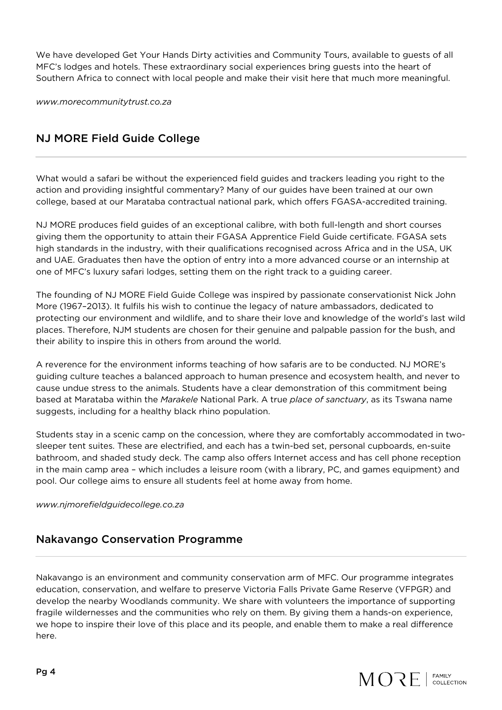We have developed Get Your Hands Dirty activities and Community Tours, available to guests of all MFC's lodges and hotels. These extraordinary social experiences bring guests into the heart of Southern Africa to connect with local people and make their visit here that much more meaningful.

*www.morecommunitytrust.co.za*

# NJ MORE Field Guide College

What would a safari be without the experienced field guides and trackers leading you right to the action and providing insightful commentary? Many of our guides have been trained at our own college, based at our Marataba contractual national park, which offers FGASA-accredited training.

NJ MORE produces field guides of an exceptional calibre, with both full-length and short courses giving them the opportunity to attain their FGASA Apprentice Field Guide certificate. FGASA sets high standards in the industry, with their qualifications recognised across Africa and in the USA, UK and UAE. Graduates then have the option of entry into a more advanced course or an internship at one of MFC's luxury safari lodges, setting them on the right track to a guiding career.

The founding of NJ MORE Field Guide College was inspired by passionate conservationist Nick John More (1967–2013). It fulfils his wish to continue the legacy of nature ambassadors, dedicated to protecting our environment and wildlife, and to share their love and knowledge of the world's last wild places. Therefore, NJM students are chosen for their genuine and palpable passion for the bush, and their ability to inspire this in others from around the world.

A reverence for the environment informs teaching of how safaris are to be conducted. NJ MORE's guiding culture teaches a balanced approach to human presence and ecosystem health, and never to cause undue stress to the animals. Students have a clear demonstration of this commitment being based at Marataba within the *Marakele* National Park. A true *place of sanctuary*, as its Tswana name suggests, including for a healthy black rhino population.

Students stay in a scenic camp on the concession, where they are comfortably accommodated in twosleeper tent suites. These are electrified, and each has a twin-bed set, personal cupboards, en-suite bathroom, and shaded study deck. The camp also offers Internet access and has cell phone reception in the main camp area – which includes a leisure room (with a library, PC, and games equipment) and pool. Our college aims to ensure all students feel at home away from home.

*www.njmorefieldguidecollege.co.za*

# Nakavango Conservation Programme

Nakavango is an environment and community conservation arm of MFC. Our programme integrates education, conservation, and welfare to preserve Victoria Falls Private Game Reserve (VFPGR) and develop the nearby Woodlands community. We share with volunteers the importance of supporting fragile wildernesses and the communities who rely on them. By giving them a hands-on experience, we hope to inspire their love of this place and its people, and enable them to make a real difference here.

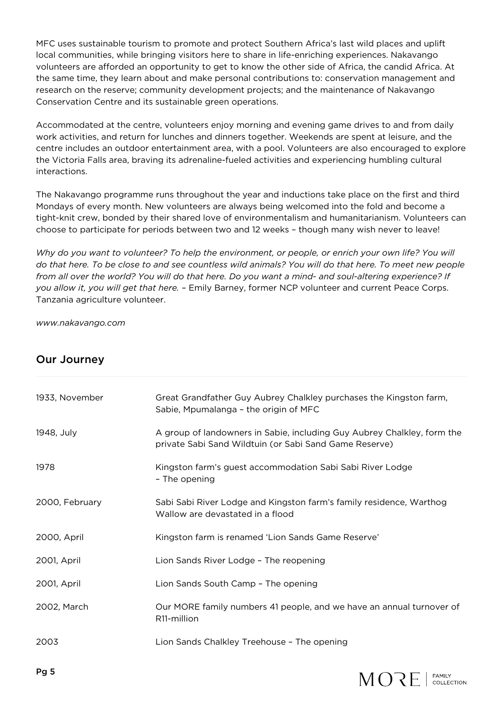MFC uses sustainable tourism to promote and protect Southern Africa's last wild places and uplift local communities, while bringing visitors here to share in life-enriching experiences. Nakavango volunteers are afforded an opportunity to get to know the other side of Africa, the candid Africa. At the same time, they learn about and make personal contributions to: conservation management and research on the reserve; community development projects; and the maintenance of Nakavango Conservation Centre and its sustainable green operations.

Accommodated at the centre, volunteers enjoy morning and evening game drives to and from daily work activities, and return for lunches and dinners together. Weekends are spent at leisure, and the centre includes an outdoor entertainment area, with a pool. Volunteers are also encouraged to explore the Victoria Falls area, braving its adrenaline-fueled activities and experiencing humbling cultural interactions.

The Nakavango programme runs throughout the year and inductions take place on the first and third Mondays of every month. New volunteers are always being welcomed into the fold and become a tight-knit crew, bonded by their shared love of environmentalism and humanitarianism. Volunteers can choose to participate for periods between two and 12 weeks – though many wish never to leave!

*Why do you want to volunteer? To help the environment, or people, or enrich your own life? You will do that here. To be close to and see countless wild animals? You will do that here. To meet new people from all over the world? You will do that here. Do you want a mind- and soul-altering experience? If you allow it, you will get that here.* – Emily Barney, former NCP volunteer and current Peace Corps. Tanzania agriculture volunteer.

*www.nakavango.com*

# Our Journey

| 1933, November | Great Grandfather Guy Aubrey Chalkley purchases the Kingston farm,<br>Sabie, Mpumalanga - the origin of MFC                       |
|----------------|-----------------------------------------------------------------------------------------------------------------------------------|
| 1948, July     | A group of landowners in Sabie, including Guy Aubrey Chalkley, form the<br>private Sabi Sand Wildtuin (or Sabi Sand Game Reserve) |
| 1978           | Kingston farm's guest accommodation Sabi Sabi River Lodge<br>- The opening                                                        |
| 2000, February | Sabi Sabi River Lodge and Kingston farm's family residence, Warthog<br>Wallow are devastated in a flood                           |
| 2000, April    | Kingston farm is renamed 'Lion Sands Game Reserve'                                                                                |
| 2001, April    | Lion Sands River Lodge - The reopening                                                                                            |
| 2001, April    | Lion Sands South Camp - The opening                                                                                               |
| 2002, March    | Our MORE family numbers 41 people, and we have an annual turnover of<br>R <sub>11</sub> -million                                  |
| 2003           | Lion Sands Chalkley Treehouse - The opening                                                                                       |

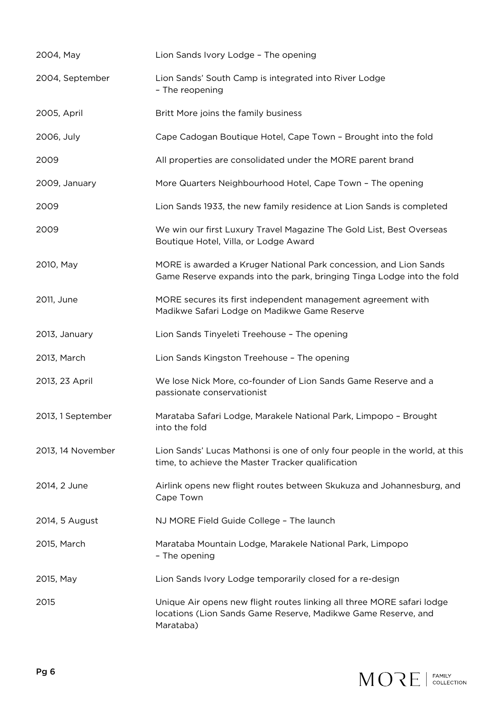| 2004, May         | Lion Sands Ivory Lodge - The opening                                                                                                                 |
|-------------------|------------------------------------------------------------------------------------------------------------------------------------------------------|
| 2004, September   | Lion Sands' South Camp is integrated into River Lodge<br>- The reopening                                                                             |
| 2005, April       | Britt More joins the family business                                                                                                                 |
| 2006, July        | Cape Cadogan Boutique Hotel, Cape Town - Brought into the fold                                                                                       |
| 2009              | All properties are consolidated under the MORE parent brand                                                                                          |
| 2009, January     | More Quarters Neighbourhood Hotel, Cape Town - The opening                                                                                           |
| 2009              | Lion Sands 1933, the new family residence at Lion Sands is completed                                                                                 |
| 2009              | We win our first Luxury Travel Magazine The Gold List, Best Overseas<br>Boutique Hotel, Villa, or Lodge Award                                        |
| 2010, May         | MORE is awarded a Kruger National Park concession, and Lion Sands<br>Game Reserve expands into the park, bringing Tinga Lodge into the fold          |
| 2011, June        | MORE secures its first independent management agreement with<br>Madikwe Safari Lodge on Madikwe Game Reserve                                         |
| 2013, January     | Lion Sands Tinyeleti Treehouse - The opening                                                                                                         |
| 2013, March       | Lion Sands Kingston Treehouse - The opening                                                                                                          |
| 2013, 23 April    | We lose Nick More, co-founder of Lion Sands Game Reserve and a<br>passionate conservationist                                                         |
| 2013, 1 September | Marataba Safari Lodge, Marakele National Park, Limpopo - Brought<br>into the fold                                                                    |
| 2013, 14 November | Lion Sands' Lucas Mathonsi is one of only four people in the world, at this<br>time, to achieve the Master Tracker qualification                     |
| 2014, 2 June      | Airlink opens new flight routes between Skukuza and Johannesburg, and<br>Cape Town                                                                   |
| 2014, 5 August    | NJ MORE Field Guide College - The launch                                                                                                             |
| 2015, March       | Marataba Mountain Lodge, Marakele National Park, Limpopo<br>- The opening                                                                            |
| 2015, May         | Lion Sands Ivory Lodge temporarily closed for a re-design                                                                                            |
| 2015              | Unique Air opens new flight routes linking all three MORE safari lodge<br>locations (Lion Sands Game Reserve, Madikwe Game Reserve, and<br>Marataba) |

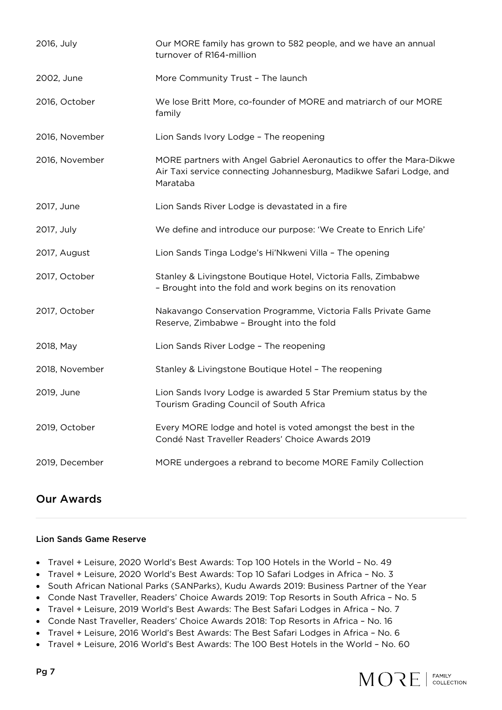| 2016, July     | Our MORE family has grown to 582 people, and we have an annual<br>turnover of R164-million                                                              |
|----------------|---------------------------------------------------------------------------------------------------------------------------------------------------------|
| 2002, June     | More Community Trust - The launch                                                                                                                       |
| 2016, October  | We lose Britt More, co-founder of MORE and matriarch of our MORE<br>family                                                                              |
| 2016, November | Lion Sands Ivory Lodge - The reopening                                                                                                                  |
| 2016, November | MORE partners with Angel Gabriel Aeronautics to offer the Mara-Dikwe<br>Air Taxi service connecting Johannesburg, Madikwe Safari Lodge, and<br>Marataba |
| 2017, June     | Lion Sands River Lodge is devastated in a fire                                                                                                          |
| 2017, July     | We define and introduce our purpose: 'We Create to Enrich Life'                                                                                         |
| 2017, August   | Lion Sands Tinga Lodge's Hi'Nkweni Villa - The opening                                                                                                  |
| 2017, October  | Stanley & Livingstone Boutique Hotel, Victoria Falls, Zimbabwe<br>- Brought into the fold and work begins on its renovation                             |
| 2017, October  | Nakavango Conservation Programme, Victoria Falls Private Game<br>Reserve, Zimbabwe - Brought into the fold                                              |
| 2018, May      | Lion Sands River Lodge - The reopening                                                                                                                  |
| 2018, November | Stanley & Livingstone Boutique Hotel - The reopening                                                                                                    |
| 2019, June     | Lion Sands Ivory Lodge is awarded 5 Star Premium status by the<br>Tourism Grading Council of South Africa                                               |
| 2019, October  | Every MORE lodge and hotel is voted amongst the best in the<br>Condé Nast Traveller Readers' Choice Awards 2019                                         |
| 2019, December | MORE undergoes a rebrand to become MORE Family Collection                                                                                               |

# Our Awards

#### Lion Sands Game Reserve

- Travel + Leisure, 2020 World's Best Awards: Top 100 Hotels in the World No. 49
- Travel + Leisure, 2020 World's Best Awards: Top 10 Safari Lodges in Africa No. 3
- South African National Parks (SANParks), Kudu Awards 2019: Business Partner of the Year
- Conde Nast Traveller, Readers' Choice Awards 2019: Top Resorts in South Africa No. 5
- Travel + Leisure, 2019 World's Best Awards: The Best Safari Lodges in Africa No. 7
- Conde Nast Traveller, Readers' Choice Awards 2018: Top Resorts in Africa No. 16
- Travel + Leisure, 2016 World's Best Awards: The Best Safari Lodges in Africa No. 6
- Travel + Leisure, 2016 World's Best Awards: The 100 Best Hotels in the World No. 60

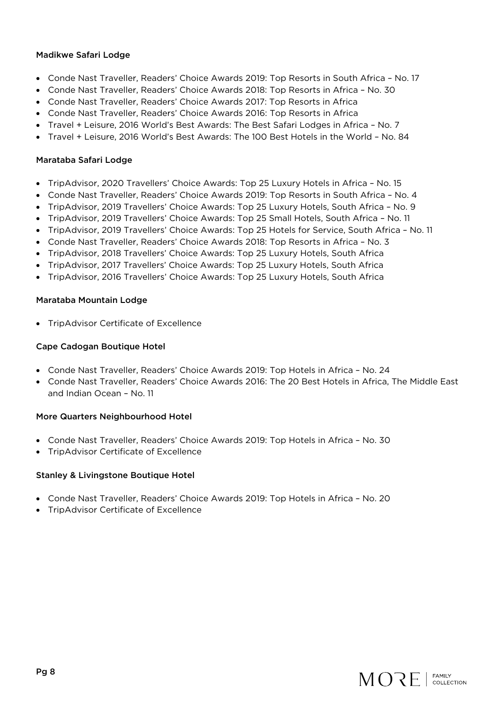#### Madikwe Safari Lodge

- Conde Nast Traveller, Readers' Choice Awards 2019: Top Resorts in South Africa No. 17
- Conde Nast Traveller, Readers' Choice Awards 2018: Top Resorts in Africa No. 30
- Conde Nast Traveller, Readers' Choice Awards 2017: Top Resorts in Africa
- Conde Nast Traveller, Readers' Choice Awards 2016: Top Resorts in Africa
- Travel + Leisure, 2016 World's Best Awards: The Best Safari Lodges in Africa No. 7
- Travel + Leisure, 2016 World's Best Awards: The 100 Best Hotels in the World No. 84

#### Marataba Safari Lodge

- TripAdvisor, 2020 Travellers' Choice Awards: Top 25 Luxury Hotels in Africa No. 15
- Conde Nast Traveller, Readers' Choice Awards 2019: Top Resorts in South Africa No. 4
- TripAdvisor, 2019 Travellers' Choice Awards: Top 25 Luxury Hotels, South Africa No. 9
- TripAdvisor, 2019 Travellers' Choice Awards: Top 25 Small Hotels, South Africa No. 11
- TripAdvisor, 2019 Travellers' Choice Awards: Top 25 Hotels for Service, South Africa No. 11
- Conde Nast Traveller, Readers' Choice Awards 2018: Top Resorts in Africa No. 3
- TripAdvisor, 2018 Travellers' Choice Awards: Top 25 Luxury Hotels, South Africa
- TripAdvisor, 2017 Travellers' Choice Awards: Top 25 Luxury Hotels, South Africa
- TripAdvisor, 2016 Travellers' Choice Awards: Top 25 Luxury Hotels, South Africa

#### Marataba Mountain Lodge

• TripAdvisor Certificate of Excellence

#### Cape Cadogan Boutique Hotel

- Conde Nast Traveller, Readers' Choice Awards 2019: Top Hotels in Africa No. 24
- Conde Nast Traveller, Readers' Choice Awards 2016: The 20 Best Hotels in Africa, The Middle East and Indian Ocean – No. 11

#### More Quarters Neighbourhood Hotel

- Conde Nast Traveller, Readers' Choice Awards 2019: Top Hotels in Africa No. 30
- TripAdvisor Certificate of Excellence

#### Stanley & Livingstone Boutique Hotel

- Conde Nast Traveller, Readers' Choice Awards 2019: Top Hotels in Africa No. 20
- TripAdvisor Certificate of Excellence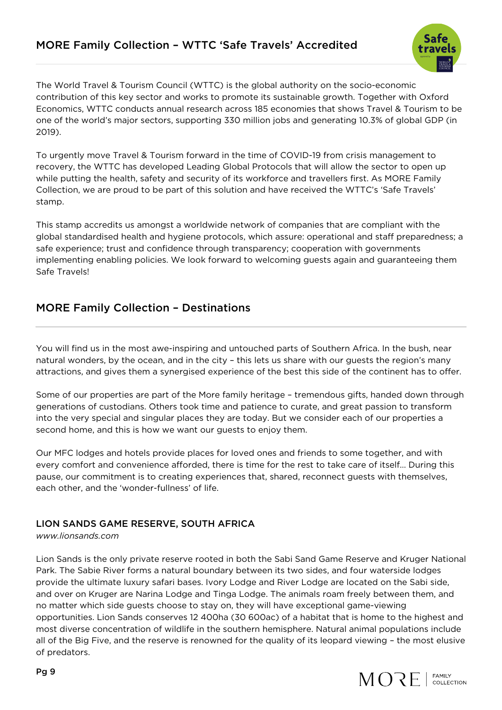

The World Travel & Tourism Council (WTTC) is the global authority on the socio-economic contribution of this key sector and works to promote its sustainable growth. Together with Oxford Economics, WTTC conducts annual research across 185 economies that shows Travel & Tourism to be one of the world's major sectors, supporting 330 million jobs and generating 10.3% of global GDP (in 2019).

To urgently move Travel & Tourism forward in the time of COVID-19 from crisis management to recovery, the WTTC has developed Leading Global Protocols that will allow the sector to open up while putting the health, safety and security of its workforce and travellers first. As MORE Family Collection, we are proud to be part of this solution and have received the WTTC's 'Safe Travels' stamp.

This stamp accredits us amongst a worldwide network of companies that are compliant with the global standardised health and hygiene protocols, which assure: operational and staff preparedness; a safe experience; trust and confidence through transparency; cooperation with governments implementing enabling policies. We look forward to welcoming guests again and guaranteeing them Safe Travels!

# MORE Family Collection – Destinations

You will find us in the most awe-inspiring and untouched parts of Southern Africa. In the bush, near natural wonders, by the ocean, and in the city – this lets us share with our guests the region's many attractions, and gives them a synergised experience of the best this side of the continent has to offer.

Some of our properties are part of the More family heritage – tremendous gifts, handed down through generations of custodians. Others took time and patience to curate, and great passion to transform into the very special and singular places they are today. But we consider each of our properties a second home, and this is how we want our guests to enjoy them.

Our MFC lodges and hotels provide places for loved ones and friends to some together, and with every comfort and convenience afforded, there is time for the rest to take care of itself… During this pause, our commitment is to creating experiences that, shared, reconnect guests with themselves, each other, and the 'wonder-fullness' of life.

# LION SANDS GAME RESERVE, SOUTH AFRICA

*www.lionsands.com*

Lion Sands is the only private reserve rooted in both the Sabi Sand Game Reserve and Kruger National Park. The Sabie River forms a natural boundary between its two sides, and four waterside lodges provide the ultimate luxury safari bases. Ivory Lodge and River Lodge are located on the Sabi side, and over on Kruger are Narina Lodge and Tinga Lodge. The animals roam freely between them, and no matter which side guests choose to stay on, they will have exceptional game-viewing opportunities. Lion Sands conserves 12 400ha (30 600ac) of a habitat that is home to the highest and most diverse concentration of wildlife in the southern hemisphere. Natural animal populations include all of the Big Five, and the reserve is renowned for the quality of its leopard viewing – the most elusive of predators.

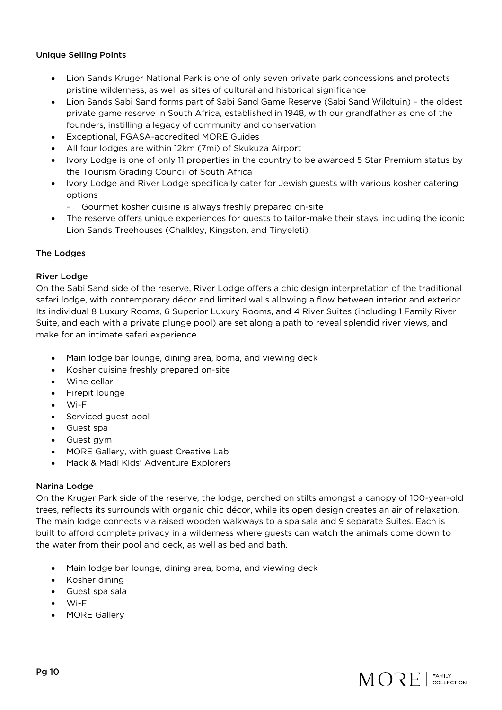#### Unique Selling Points

- Lion Sands Kruger National Park is one of only seven private park concessions and protects pristine wilderness, as well as sites of cultural and historical significance
- Lion Sands Sabi Sand forms part of Sabi Sand Game Reserve (Sabi Sand Wildtuin) the oldest private game reserve in South Africa, established in 1948, with our grandfather as one of the founders, instilling a legacy of community and conservation
- Exceptional, FGASA-accredited MORE Guides
- All four lodges are within 12km (7mi) of Skukuza Airport
- Ivory Lodge is one of only 11 properties in the country to be awarded 5 Star Premium status by the Tourism Grading Council of South Africa
- Ivory Lodge and River Lodge specifically cater for Jewish guests with various kosher catering options
	- Gourmet kosher cuisine is always freshly prepared on-site
- The reserve offers unique experiences for guests to tailor-make their stays, including the iconic Lion Sands Treehouses (Chalkley, Kingston, and Tinyeleti)

#### The Lodges

#### River Lodge

On the Sabi Sand side of the reserve, River Lodge offers a chic design interpretation of the traditional safari lodge, with contemporary décor and limited walls allowing a flow between interior and exterior. Its individual 8 Luxury Rooms, 6 Superior Luxury Rooms, and 4 River Suites (including 1 Family River Suite, and each with a private plunge pool) are set along a path to reveal splendid river views, and make for an intimate safari experience.

- Main lodge bar lounge, dining area, boma, and viewing deck
- Kosher cuisine freshly prepared on-site
- Wine cellar
- Firepit lounge
- Wi-Fi
- Serviced guest pool
- Guest spa
- Guest gym
- MORE Gallery, with guest Creative Lab
- Mack & Madi Kids' Adventure Explorers

#### Narina Lodge

On the Kruger Park side of the reserve, the lodge, perched on stilts amongst a canopy of 100-year-old trees, reflects its surrounds with organic chic décor, while its open design creates an air of relaxation. The main lodge connects via raised wooden walkways to a spa sala and 9 separate Suites. Each is built to afford complete privacy in a wilderness where guests can watch the animals come down to the water from their pool and deck, as well as bed and bath.

- Main lodge bar lounge, dining area, boma, and viewing deck
- Kosher dining
- Guest spa sala
- Wi-Fi
- MORE Gallery

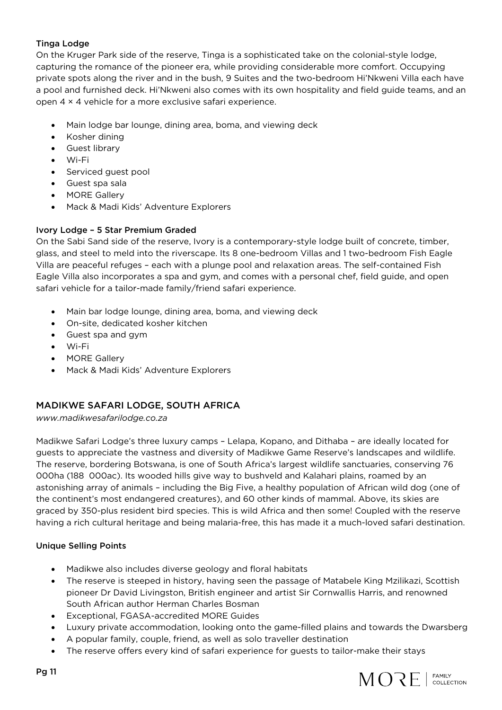### Tinga Lodge

On the Kruger Park side of the reserve, Tinga is a sophisticated take on the colonial-style lodge, capturing the romance of the pioneer era, while providing considerable more comfort. Occupying private spots along the river and in the bush, 9 Suites and the two-bedroom Hi'Nkweni Villa each have a pool and furnished deck. Hi'Nkweni also comes with its own hospitality and field guide teams, and an open 4 × 4 vehicle for a more exclusive safari experience.

- Main lodge bar lounge, dining area, boma, and viewing deck
- Kosher dining
- Guest library
- Wi-Fi
- Serviced guest pool
- Guest spa sala
- MORE Gallery
- Mack & Madi Kids' Adventure Explorers

# Ivory Lodge – 5 Star Premium Graded

On the Sabi Sand side of the reserve, Ivory is a contemporary-style lodge built of concrete, timber, glass, and steel to meld into the riverscape. Its 8 one-bedroom Villas and 1 two-bedroom Fish Eagle Villa are peaceful refuges – each with a plunge pool and relaxation areas. The self-contained Fish Eagle Villa also incorporates a spa and gym, and comes with a personal chef, field guide, and open safari vehicle for a tailor-made family/friend safari experience.

- Main bar lodge lounge, dining area, boma, and viewing deck
- On-site, dedicated kosher kitchen
- Guest spa and gym
- Wi-Fi
- MORE Gallery
- Mack & Madi Kids' Adventure Explorers

# MADIKWE SAFARI LODGE, SOUTH AFRICA

#### *www.madikwesafarilodge.co.za*

Madikwe Safari Lodge's three luxury camps – Lelapa, Kopano, and Dithaba – are ideally located for guests to appreciate the vastness and diversity of Madikwe Game Reserve's landscapes and wildlife. The reserve, bordering Botswana, is one of South Africa's largest wildlife sanctuaries, conserving 76 000ha (188 000ac). Its wooded hills give way to bushveld and Kalahari plains, roamed by an astonishing array of animals – including the Big Five, a healthy population of African wild dog (one of the continent's most endangered creatures), and 60 other kinds of mammal. Above, its skies are graced by 350-plus resident bird species. This is wild Africa and then some! Coupled with the reserve having a rich cultural heritage and being malaria-free, this has made it a much-loved safari destination.

### Unique Selling Points

- Madikwe also includes diverse geology and floral habitats
- The reserve is steeped in history, having seen the passage of Matabele King Mzilikazi, Scottish pioneer Dr David Livingston, British engineer and artist Sir Cornwallis Harris, and renowned South African author Herman Charles Bosman
- Exceptional, FGASA-accredited MORE Guides
- Luxury private accommodation, looking onto the game-filled plains and towards the Dwarsberg
- A popular family, couple, friend, as well as solo traveller destination
- The reserve offers every kind of safari experience for guests to tailor-make their stays

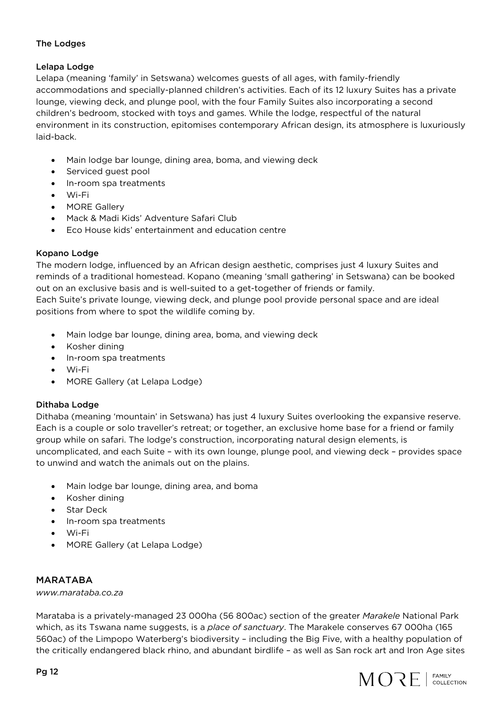#### The Lodges

#### Lelapa Lodge

Lelapa (meaning 'family' in Setswana) welcomes guests of all ages, with family-friendly accommodations and specially-planned children's activities. Each of its 12 luxury Suites has a private lounge, viewing deck, and plunge pool, with the four Family Suites also incorporating a second children's bedroom, stocked with toys and games. While the lodge, respectful of the natural environment in its construction, epitomises contemporary African design, its atmosphere is luxuriously laid-back.

- Main lodge bar lounge, dining area, boma, and viewing deck
- Serviced guest pool
- In-room spa treatments
- Wi-Fi
- MORE Gallery
- Mack & Madi Kids' Adventure Safari Club
- Eco House kids' entertainment and education centre

#### Kopano Lodge

The modern lodge, influenced by an African design aesthetic, comprises just 4 luxury Suites and reminds of a traditional homestead. Kopano (meaning 'small gathering' in Setswana) can be booked out on an exclusive basis and is well-suited to a get-together of friends or family. Each Suite's private lounge, viewing deck, and plunge pool provide personal space and are ideal

positions from where to spot the wildlife coming by.

- Main lodge bar lounge, dining area, boma, and viewing deck
- Kosher dining
- In-room spa treatments
- Wi-Fi
- MORE Gallery (at Lelapa Lodge)

### Dithaba Lodge

Dithaba (meaning 'mountain' in Setswana) has just 4 luxury Suites overlooking the expansive reserve. Each is a couple or solo traveller's retreat; or together, an exclusive home base for a friend or family group while on safari. The lodge's construction, incorporating natural design elements, is uncomplicated, and each Suite – with its own lounge, plunge pool, and viewing deck – provides space to unwind and watch the animals out on the plains.

- Main lodge bar lounge, dining area, and boma
- Kosher dining
- Star Deck
- In-room spa treatments
- Wi-Fi
- MORE Gallery (at Lelapa Lodge)

#### MARATABA

*www.marataba.co.za*

Marataba is a privately-managed 23 000ha (56 800ac) section of the greater *Marakele* National Park which, as its Tswana name suggests, is a *place of sanctuary*. The Marakele conserves 67 000ha (165 560ac) of the Limpopo Waterberg's biodiversity – including the Big Five, with a healthy population of the critically endangered black rhino, and abundant birdlife – as well as San rock art and Iron Age sites

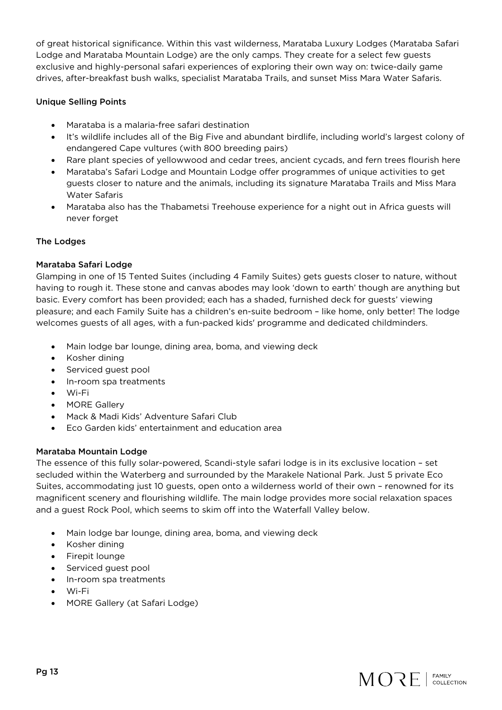of great historical significance. Within this vast wilderness, Marataba Luxury Lodges (Marataba Safari Lodge and Marataba Mountain Lodge) are the only camps. They create for a select few guests exclusive and highly-personal safari experiences of exploring their own way on: twice-daily game drives, after-breakfast bush walks, specialist Marataba Trails, and sunset Miss Mara Water Safaris.

#### Unique Selling Points

- Marataba is a malaria-free safari destination
- It's wildlife includes all of the Big Five and abundant birdlife, including world's largest colony of endangered Cape vultures (with 800 breeding pairs)
- Rare plant species of yellowwood and cedar trees, ancient cycads, and fern trees flourish here
- Marataba's Safari Lodge and Mountain Lodge offer programmes of unique activities to get guests closer to nature and the animals, including its signature Marataba Trails and Miss Mara Water Safaris
- Marataba also has the Thabametsi Treehouse experience for a night out in Africa guests will never forget

#### The Lodges

#### Marataba Safari Lodge

Glamping in one of 15 Tented Suites (including 4 Family Suites) gets guests closer to nature, without having to rough it. These stone and canvas abodes may look 'down to earth' though are anything but basic. Every comfort has been provided; each has a shaded, furnished deck for guests' viewing pleasure; and each Family Suite has a children's en-suite bedroom – like home, only better! The lodge welcomes guests of all ages, with a fun-packed kids' programme and dedicated childminders.

- Main lodge bar lounge, dining area, boma, and viewing deck
- Kosher dining
- Serviced guest pool
- In-room spa treatments
- Wi-Fi
- MORE Gallery
- Mack & Madi Kids' Adventure Safari Club
- Eco Garden kids' entertainment and education area

#### Marataba Mountain Lodge

The essence of this fully solar-powered, Scandi-style safari lodge is in its exclusive location – set secluded within the Waterberg and surrounded by the Marakele National Park. Just 5 private Eco Suites, accommodating just 10 guests, open onto a wilderness world of their own – renowned for its magnificent scenery and flourishing wildlife. The main lodge provides more social relaxation spaces and a guest Rock Pool, which seems to skim off into the Waterfall Valley below.

- Main lodge bar lounge, dining area, boma, and viewing deck
- Kosher dining
- Firepit lounge
- Serviced guest pool
- In-room spa treatments
- Wi-Fi
- MORE Gallery (at Safari Lodge)

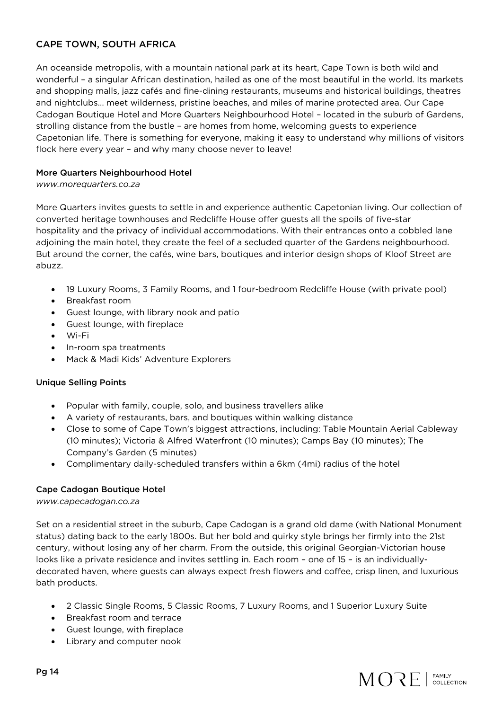# CAPE TOWN, SOUTH AFRICA

An oceanside metropolis, with a mountain national park at its heart, Cape Town is both wild and wonderful – a singular African destination, hailed as one of the most beautiful in the world. Its markets and shopping malls, jazz cafés and fine-dining restaurants, museums and historical buildings, theatres and nightclubs… meet wilderness, pristine beaches, and miles of marine protected area. Our Cape Cadogan Boutique Hotel and More Quarters Neighbourhood Hotel – located in the suburb of Gardens, strolling distance from the bustle – are homes from home, welcoming guests to experience Capetonian life. There is something for everyone, making it easy to understand why millions of visitors flock here every year – and why many choose never to leave!

#### More Quarters Neighbourhood Hotel

#### *www.morequarters.co.za*

More Quarters invites guests to settle in and experience authentic Capetonian living. Our collection of converted heritage townhouses and Redcliffe House offer guests all the spoils of five-star hospitality and the privacy of individual accommodations. With their entrances onto a cobbled lane adjoining the main hotel, they create the feel of a secluded quarter of the Gardens neighbourhood. But around the corner, the cafés, wine bars, boutiques and interior design shops of Kloof Street are abuzz.

- 19 Luxury Rooms, 3 Family Rooms, and 1 four-bedroom Redcliffe House (with private pool)
- Breakfast room
- Guest lounge, with library nook and patio
- Guest lounge, with fireplace
- Wi-Fi
- In-room spa treatments
- Mack & Madi Kids' Adventure Explorers

#### Unique Selling Points

- Popular with family, couple, solo, and business travellers alike
- A variety of restaurants, bars, and boutiques within walking distance
- Close to some of Cape Town's biggest attractions, including: Table Mountain Aerial Cableway (10 minutes); Victoria & Alfred Waterfront (10 minutes); Camps Bay (10 minutes); The Company's Garden (5 minutes)
- Complimentary daily-scheduled transfers within a 6km (4mi) radius of the hotel

#### Cape Cadogan Boutique Hotel

#### *www.capecadogan.co.za*

Set on a residential street in the suburb, Cape Cadogan is a grand old dame (with National Monument status) dating back to the early 1800s. But her bold and quirky style brings her firmly into the 21st century, without losing any of her charm. From the outside, this original Georgian-Victorian house looks like a private residence and invites settling in. Each room – one of 15 – is an individuallydecorated haven, where guests can always expect fresh flowers and coffee, crisp linen, and luxurious bath products.

- 2 Classic Single Rooms, 5 Classic Rooms, 7 Luxury Rooms, and 1 Superior Luxury Suite
- Breakfast room and terrace
- Guest lounge, with fireplace
- Library and computer nook

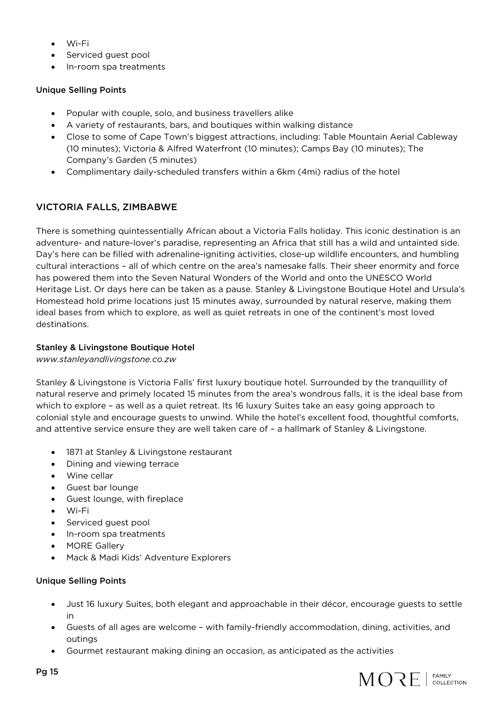- Wi-Fi
- Serviced guest pool
- In-room spa treatments

#### Unique Selling Points

- Popular with couple, solo, and business travellers alike
- A variety of restaurants, bars, and boutiques within walking distance
- Close to some of Cape Town's biggest attractions, including: Table Mountain Aerial Cableway (10 minutes); Victoria & Alfred Waterfront (10 minutes); Camps Bay (10 minutes); The Company's Garden (5 minutes)
- Complimentary daily-scheduled transfers within a 6km (4mi) radius of the hotel

# VICTORIA FALLS, ZIMBABWE

There is something quintessentially African about a Victoria Falls holiday. This iconic destination is an adventure- and nature-lover's paradise, representing an Africa that still has a wild and untainted side. Day's here can be filled with adrenaline-igniting activities, close-up wildlife encounters, and humbling cultural interactions – all of which centre on the area's namesake falls. Their sheer enormity and force has powered them into the Seven Natural Wonders of the World and onto the UNESCO World Heritage List. Or days here can be taken as a pause. Stanley & Livingstone Boutique Hotel and Ursula's Homestead hold prime locations just 15 minutes away, surrounded by natural reserve, making them ideal bases from which to explore, as well as quiet retreats in one of the continent's most loved destinations.

#### Stanley & Livingstone Boutique Hotel

*www.stanleyandlivingstone.co.zw*

Stanley & Livingstone is Victoria Falls' first luxury boutique hotel. Surrounded by the tranquillity of natural reserve and primely located 15 minutes from the area's wondrous falls, it is the ideal base from which to explore – as well as a quiet retreat. Its 16 luxury Suites take an easy going approach to colonial style and encourage guests to unwind. While the hotel's excellent food, thoughtful comforts, and attentive service ensure they are well taken care of – a hallmark of Stanley & Livingstone.

- 1871 at Stanley & Livingstone restaurant
- Dining and viewing terrace
- Wine cellar
- Guest bar lounge
- Guest lounge, with fireplace
- Wi-Fi
- Serviced guest pool
- In-room spa treatments
- MORE Gallery
- Mack & Madi Kids' Adventure Explorers

#### Unique Selling Points

- Just 16 luxury Suites, both elegant and approachable in their décor, encourage guests to settle in
- Guests of all ages are welcome with family-friendly accommodation, dining, activities, and outings
- Gourmet restaurant making dining an occasion, as anticipated as the activities

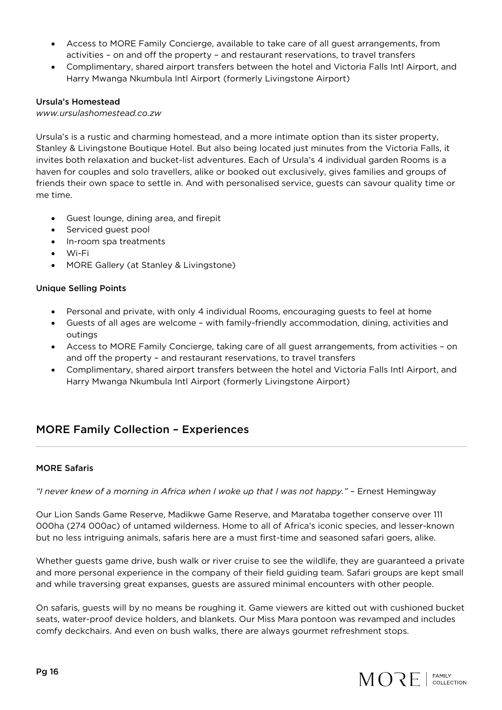- Access to MORE Family Concierge, available to take care of all guest arrangements, from activities – on and off the property – and restaurant reservations, to travel transfers
- Complimentary, shared airport transfers between the hotel and Victoria Falls Intl Airport, and Harry Mwanga Nkumbula Intl Airport (formerly Livingstone Airport)

#### Ursula's Homestead

#### *www.ursulashomestead.co.zw*

Ursula's is a rustic and charming homestead, and a more intimate option than its sister property, Stanley & Livingstone Boutique Hotel. But also being located just minutes from the Victoria Falls, it invites both relaxation and bucket-list adventures. Each of Ursula's 4 individual garden Rooms is a haven for couples and solo travellers, alike or booked out exclusively, gives families and groups of friends their own space to settle in. And with personalised service, guests can savour quality time or me time.

- Guest lounge, dining area, and firepit
- Serviced guest pool
- In-room spa treatments
- Wi-Fi
- MORE Gallery (at Stanley & Livingstone)

#### Unique Selling Points

- Personal and private, with only 4 individual Rooms, encouraging guests to feel at home
- Guests of all ages are welcome with family-friendly accommodation, dining, activities and outings
- Access to MORE Family Concierge, taking care of all guest arrangements, from activities on and off the property – and restaurant reservations, to travel transfers
- Complimentary, shared airport transfers between the hotel and Victoria Falls Intl Airport, and Harry Mwanga Nkumbula Intl Airport (formerly Livingstone Airport)

# MORE Family Collection – Experiences

#### MORE Safaris

*"I never knew of a morning in Africa when I woke up that I was not happy."* – Ernest Hemingway

Our Lion Sands Game Reserve, Madikwe Game Reserve, and Marataba together conserve over 111 000ha (274 000ac) of untamed wilderness. Home to all of Africa's iconic species, and lesser-known but no less intriguing animals, safaris here are a must first-time and seasoned safari goers, alike.

Whether guests game drive, bush walk or river cruise to see the wildlife, they are guaranteed a private and more personal experience in the company of their field guiding team. Safari groups are kept small and while traversing great expanses, guests are assured minimal encounters with other people.

On safaris, guests will by no means be roughing it. Game viewers are kitted out with cushioned bucket seats, water-proof device holders, and blankets. Our Miss Mara pontoon was revamped and includes comfy deckchairs. And even on bush walks, there are always gourmet refreshment stops.

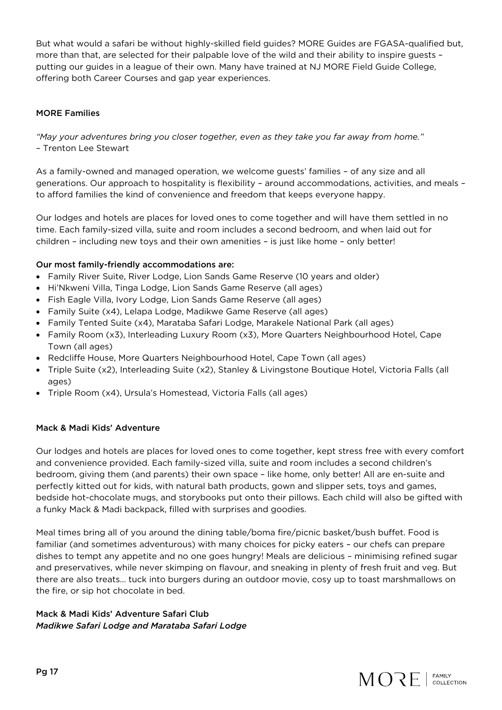But what would a safari be without highly-skilled field guides? MORE Guides are FGASA-qualified but, more than that, are selected for their palpable love of the wild and their ability to inspire guests – putting our guides in a league of their own. Many have trained at NJ MORE Field Guide College, offering both Career Courses and gap year experiences.

#### MORE Families

*"May your adventures bring you closer together, even as they take you far away from home."* – Trenton Lee Stewart

As a family-owned and managed operation, we welcome guests' families – of any size and all generations. Our approach to hospitality is flexibility – around accommodations, activities, and meals – to afford families the kind of convenience and freedom that keeps everyone happy.

Our lodges and hotels are places for loved ones to come together and will have them settled in no time. Each family-sized villa, suite and room includes a second bedroom, and when laid out for children – including new toys and their own amenities – is just like home – only better!

#### Our most family-friendly accommodations are:

- Family River Suite, River Lodge, Lion Sands Game Reserve (10 years and older)
- Hi'Nkweni Villa, Tinga Lodge, Lion Sands Game Reserve (all ages)
- Fish Eagle Villa, Ivory Lodge, Lion Sands Game Reserve (all ages)
- Family Suite (x4), Lelapa Lodge, Madikwe Game Reserve (all ages)
- Family Tented Suite (x4), Marataba Safari Lodge, Marakele National Park (all ages)
- Family Room (x3), Interleading Luxury Room (x3), More Quarters Neighbourhood Hotel, Cape Town (all ages)
- Redcliffe House, More Quarters Neighbourhood Hotel, Cape Town (all ages)
- Triple Suite (x2), Interleading Suite (x2), Stanley & Livingstone Boutique Hotel, Victoria Falls (all ages)
- Triple Room (x4), Ursula's Homestead, Victoria Falls (all ages)

#### Mack & Madi Kids' Adventure

Our lodges and hotels are places for loved ones to come together, kept stress free with every comfort and convenience provided. Each family-sized villa, suite and room includes a second children's bedroom, giving them (and parents) their own space – like home, only better! All are en-suite and perfectly kitted out for kids, with natural bath products, gown and slipper sets, toys and games, bedside hot-chocolate mugs, and storybooks put onto their pillows. Each child will also be gifted with a funky Mack & Madi backpack, filled with surprises and goodies.

Meal times bring all of you around the dining table/boma fire/picnic basket/bush buffet. Food is familiar (and sometimes adventurous) with many choices for picky eaters – our chefs can prepare dishes to tempt any appetite and no one goes hungry! Meals are delicious – minimising refined sugar and preservatives, while never skimping on flavour, and sneaking in plenty of fresh fruit and veg. But there are also treats… tuck into burgers during an outdoor movie, cosy up to toast marshmallows on the fire, or sip hot chocolate in bed.

#### Mack & Madi Kids' Adventure Safari Club *Madikwe Safari Lodge and Marataba Safari Lodge*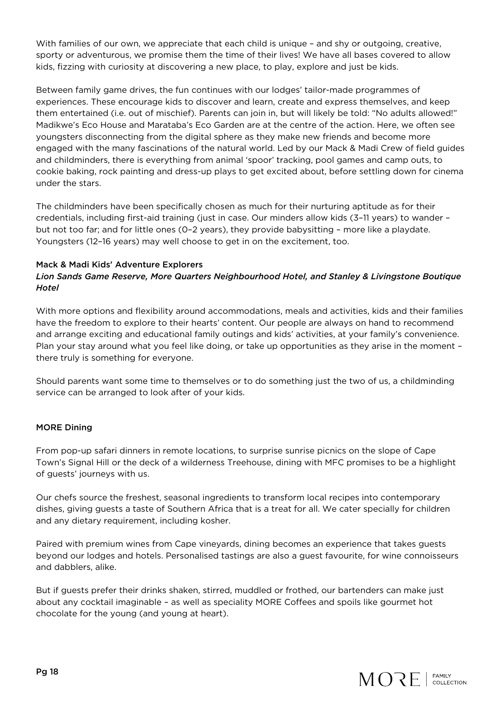With families of our own, we appreciate that each child is unique - and shy or outgoing, creative, sporty or adventurous, we promise them the time of their lives! We have all bases covered to allow kids, fizzing with curiosity at discovering a new place, to play, explore and just be kids.

Between family game drives, the fun continues with our lodges' tailor-made programmes of experiences. These encourage kids to discover and learn, create and express themselves, and keep them entertained (i.e. out of mischief). Parents can join in, but will likely be told: "No adults allowed!" Madikwe's Eco House and Marataba's Eco Garden are at the centre of the action. Here, we often see youngsters disconnecting from the digital sphere as they make new friends and become more engaged with the many fascinations of the natural world. Led by our Mack & Madi Crew of field guides and childminders, there is everything from animal 'spoor' tracking, pool games and camp outs, to cookie baking, rock painting and dress-up plays to get excited about, before settling down for cinema under the stars.

The childminders have been specifically chosen as much for their nurturing aptitude as for their credentials, including first-aid training (just in case. Our minders allow kids (3–11 years) to wander – but not too far; and for little ones (0–2 years), they provide babysitting – more like a playdate. Youngsters (12–16 years) may well choose to get in on the excitement, too.

#### Mack & Madi Kids' Adventure Explorers

### *Lion Sands Game Reserve, More Quarters Neighbourhood Hotel, and Stanley & Livingstone Boutique Hotel*

With more options and flexibility around accommodations, meals and activities, kids and their families have the freedom to explore to their hearts' content. Our people are always on hand to recommend and arrange exciting and educational family outings and kids' activities, at your family's convenience. Plan your stay around what you feel like doing, or take up opportunities as they arise in the moment – there truly is something for everyone.

Should parents want some time to themselves or to do something just the two of us, a childminding service can be arranged to look after of your kids.

#### MORE Dining

From pop-up safari dinners in remote locations, to surprise sunrise picnics on the slope of Cape Town's Signal Hill or the deck of a wilderness Treehouse, dining with MFC promises to be a highlight of guests' journeys with us.

Our chefs source the freshest, seasonal ingredients to transform local recipes into contemporary dishes, giving guests a taste of Southern Africa that is a treat for all. We cater specially for children and any dietary requirement, including kosher.

Paired with premium wines from Cape vineyards, dining becomes an experience that takes guests beyond our lodges and hotels. Personalised tastings are also a guest favourite, for wine connoisseurs and dabblers, alike.

But if guests prefer their drinks shaken, stirred, muddled or frothed, our bartenders can make just about any cocktail imaginable – as well as speciality MORE Coffees and spoils like gourmet hot chocolate for the young (and young at heart).

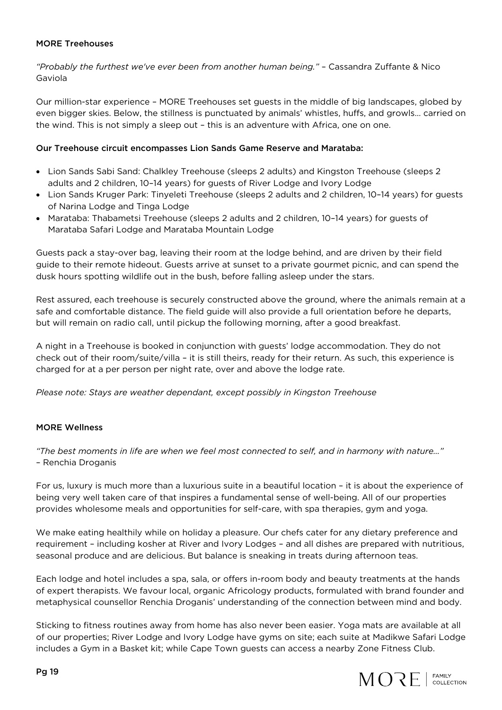#### MORE Treehouses

*"Probably the furthest we've ever been from another human being."* – Cassandra Zuffante & Nico Gaviola

Our million-star experience – MORE Treehouses set guests in the middle of big landscapes, globed by even bigger skies. Below, the stillness is punctuated by animals' whistles, huffs, and growls… carried on the wind. This is not simply a sleep out – this is an adventure with Africa, one on one.

#### Our Treehouse circuit encompasses Lion Sands Game Reserve and Marataba:

- Lion Sands Sabi Sand: Chalkley Treehouse (sleeps 2 adults) and Kingston Treehouse (sleeps 2 adults and 2 children, 10–14 years) for guests of River Lodge and Ivory Lodge
- Lion Sands Kruger Park: Tinyeleti Treehouse (sleeps 2 adults and 2 children, 10–14 years) for guests of Narina Lodge and Tinga Lodge
- Marataba: Thabametsi Treehouse (sleeps 2 adults and 2 children, 10–14 years) for guests of Marataba Safari Lodge and Marataba Mountain Lodge

Guests pack a stay-over bag, leaving their room at the lodge behind, and are driven by their field guide to their remote hideout. Guests arrive at sunset to a private gourmet picnic, and can spend the dusk hours spotting wildlife out in the bush, before falling asleep under the stars.

Rest assured, each treehouse is securely constructed above the ground, where the animals remain at a safe and comfortable distance. The field guide will also provide a full orientation before he departs, but will remain on radio call, until pickup the following morning, after a good breakfast.

A night in a Treehouse is booked in conjunction with guests' lodge accommodation. They do not check out of their room/suite/villa – it is still theirs, ready for their return. As such, this experience is charged for at a per person per night rate, over and above the lodge rate.

*Please note: Stays are weather dependant, except possibly in Kingston Treehouse* 

#### MORE Wellness

*"The best moments in life are when we feel most connected to self, and in harmony with nature…"* – Renchia Droganis

For us, luxury is much more than a luxurious suite in a beautiful location – it is about the experience of being very well taken care of that inspires a fundamental sense of well-being. All of our properties provides wholesome meals and opportunities for self-care, with spa therapies, gym and yoga.

We make eating healthily while on holiday a pleasure. Our chefs cater for any dietary preference and requirement – including kosher at River and Ivory Lodges – and all dishes are prepared with nutritious, seasonal produce and are delicious. But balance is sneaking in treats during afternoon teas.

Each lodge and hotel includes a spa, sala, or offers in-room body and beauty treatments at the hands of expert therapists. We favour local, organic Africology products, formulated with brand founder and metaphysical counsellor Renchia Droganis' understanding of the connection between mind and body.

Sticking to fitness routines away from home has also never been easier. Yoga mats are available at all of our properties; River Lodge and Ivory Lodge have gyms on site; each suite at Madikwe Safari Lodge includes a Gym in a Basket kit; while Cape Town guests can access a nearby Zone Fitness Club.

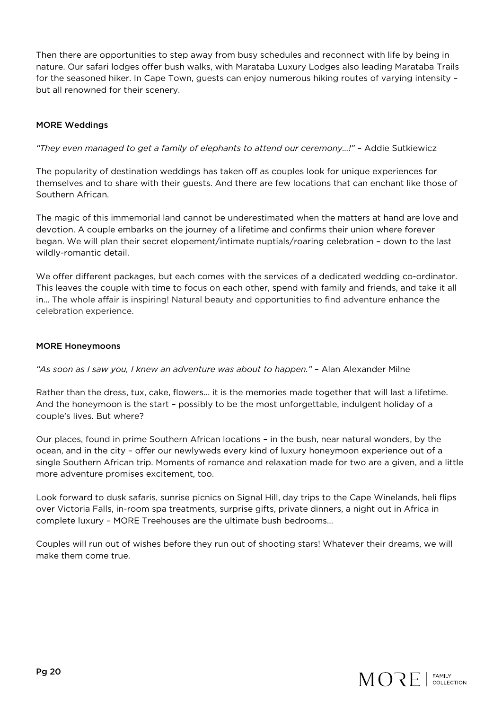Then there are opportunities to step away from busy schedules and reconnect with life by being in nature. Our safari lodges offer bush walks, with Marataba Luxury Lodges also leading Marataba Trails for the seasoned hiker. In Cape Town, guests can enjoy numerous hiking routes of varying intensity – but all renowned for their scenery.

#### MORE Weddings

*"They even managed to get a family of elephants to attend our ceremony…!"* – Addie Sutkiewicz

The popularity of destination weddings has taken off as couples look for unique experiences for themselves and to share with their guests. And there are few locations that can enchant like those of Southern African.

The magic of this immemorial land cannot be underestimated when the matters at hand are love and devotion. A couple embarks on the journey of a lifetime and confirms their union where forever began. We will plan their secret elopement/intimate nuptials/roaring celebration – down to the last wildly-romantic detail.

We offer different packages, but each comes with the services of a dedicated wedding co-ordinator. This leaves the couple with time to focus on each other, spend with family and friends, and take it all in… The whole affair is inspiring! Natural beauty and opportunities to find adventure enhance the celebration experience.

#### MORE Honeymoons

*"As soon as I saw you, I knew an adventure was about to happen."* – Alan Alexander Milne

Rather than the dress, tux, cake, flowers... it is the memories made together that will last a lifetime. And the honeymoon is the start – possibly to be the most unforgettable, indulgent holiday of a couple's lives. But where?

Our places, found in prime Southern African locations – in the bush, near natural wonders, by the ocean, and in the city – offer our newlyweds every kind of luxury honeymoon experience out of a single Southern African trip. Moments of romance and relaxation made for two are a given, and a little more adventure promises excitement, too.

Look forward to dusk safaris, sunrise picnics on Signal Hill, day trips to the Cape Winelands, heli flips over Victoria Falls, in-room spa treatments, surprise gifts, private dinners, a night out in Africa in complete luxury – MORE Treehouses are the ultimate bush bedrooms…

Couples will run out of wishes before they run out of shooting stars! Whatever their dreams, we will make them come true.

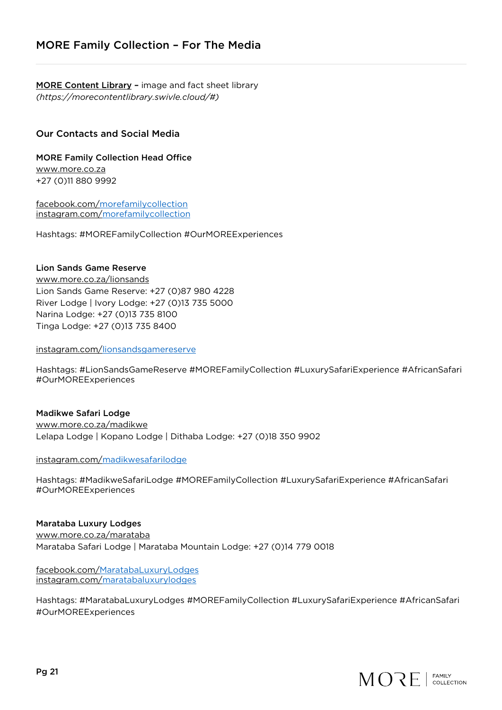MORE Content Library - image and fact sheet library *(https://morecontentlibrary.swivle.cloud/#)*

#### Our Contacts and Social Media

#### MORE Family Collection Head Office www.more.co.za +27 (0)11 880 9992

facebook.com/morefamilycollection instagram.com/morefamilycollection

Hashtags: #MOREFamilyCollection #OurMOREExperiences

#### Lion Sands Game Reserve

www.more.co.za/lionsands Lion Sands Game Reserve: +27 (0)87 980 4228 River Lodge | Ivory Lodge: +27 (0)13 735 5000 Narina Lodge: +27 (0)13 735 8100 Tinga Lodge: +27 (0)13 735 8400

instagram.com/lionsandsgamereserve

Hashtags: #LionSandsGameReserve #MOREFamilyCollection #LuxurySafariExperience #AfricanSafari #OurMOREExperiences

Madikwe Safari Lodge www.more.co.za/madikwe Lelapa Lodge | Kopano Lodge | Dithaba Lodge: +27 (0)18 350 9902

instagram.com/madikwesafarilodge

Hashtags: #MadikweSafariLodge #MOREFamilyCollection #LuxurySafariExperience #AfricanSafari #OurMOREExperiences

#### Marataba Luxury Lodges

www.more.co.za/marataba Marataba Safari Lodge | Marataba Mountain Lodge: +27 (0)14 779 0018

facebook.com/MaratabaLuxuryLodges instagram.com/maratabaluxurylodges

Hashtags: #MaratabaLuxuryLodges #MOREFamilyCollection #LuxurySafariExperience #AfricanSafari #OurMOREExperiences

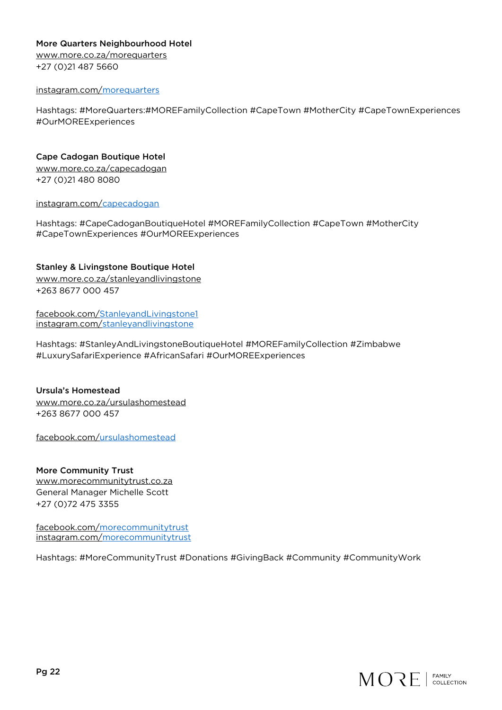#### More Quarters Neighbourhood Hotel

www.more.co.za/morequarters +27 (0)21 487 5660

#### instagram.com/morequarters

Hashtags: #MoreQuarters:#MOREFamilyCollection #CapeTown #MotherCity #CapeTownExperiences #OurMOREExperiences

Cape Cadogan Boutique Hotel www.more.co.za/capecadogan +27 (0)21 480 8080

instagram.com/capecadogan

Hashtags: #CapeCadoganBoutiqueHotel #MOREFamilyCollection #CapeTown #MotherCity #CapeTownExperiences #OurMOREExperiences

#### Stanley & Livingstone Boutique Hotel

www.more.co.za/stanleyandlivingstone +263 8677 000 457

facebook.com/StanleyandLivingstone1 instagram.com/stanleyandlivingstone

Hashtags: #StanleyAndLivingstoneBoutiqueHotel #MOREFamilyCollection #Zimbabwe #LuxurySafariExperience #AfricanSafari #OurMOREExperiences

Ursula's Homestead www.more.co.za/ursulashomestead +263 8677 000 457

facebook.com/ursulashomestead

More Community Trust www.morecommunitytrust.co.za General Manager Michelle Scott +27 (0)72 475 3355

facebook.com/morecommunitytrust instagram.com/morecommunitytrust

Hashtags: #MoreCommunityTrust #Donations #GivingBack #Community #CommunityWork